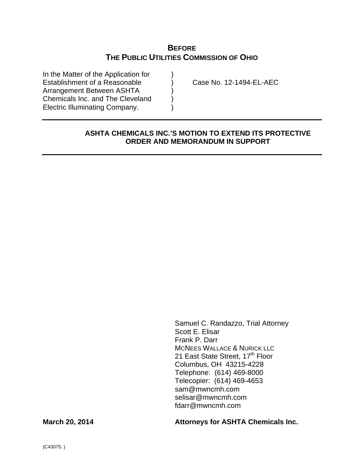# **BEFORE THE PUBLIC UTILITIES COMMISSION OF OHIO**

In the Matter of the Application for  $\qquad \qquad$  ) Establishment of a Reasonable (a) Case No. 12-1494-EL-AEC Arrangement Between ASHTA (a) Chemicals Inc. and The Cleveland ) Electric Illuminating Company. )

### **ASHTA CHEMICALS INC.'S MOTION TO EXTEND ITS PROTECTIVE ORDER AND MEMORANDUM IN SUPPORT**

Samuel C. Randazzo, Trial Attorney Scott E. Elisar Frank P. Darr MCNEES WALLACE & NURICK LLC 21 East State Street, 17<sup>th</sup> Floor Columbus, OH 43215-4228 Telephone: (614) 469-8000 Telecopier: (614) 469-4653 sam@mwncmh.com selisar@mwncmh.com fdarr@mwncmh.com

March 20, 2014 **March 20, 2014** Attorneys for ASHTA Chemicals Inc.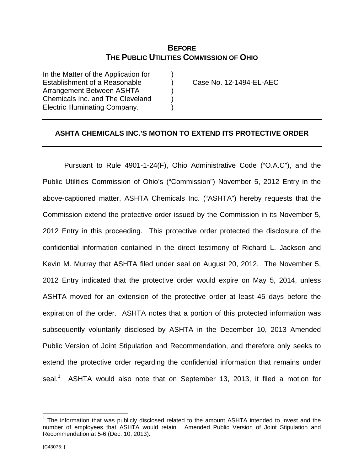# **BEFORE THE PUBLIC UTILITIES COMMISSION OF OHIO**

In the Matter of the Application for Establishment of a Reasonable ) Case No. 12-1494-EL-AEC Arrangement Between ASHTA ) Chemicals Inc. and The Cleveland ) Electric Illuminating Company. )

### **ASHTA CHEMICALS INC.'S MOTION TO EXTEND ITS PROTECTIVE ORDER**

 Pursuant to Rule 4901-1-24(F), Ohio Administrative Code ("O.A.C"), and the Public Utilities Commission of Ohio's ("Commission") November 5, 2012 Entry in the above-captioned matter, ASHTA Chemicals Inc. ("ASHTA") hereby requests that the Commission extend the protective order issued by the Commission in its November 5, 2012 Entry in this proceeding. This protective order protected the disclosure of the confidential information contained in the direct testimony of Richard L. Jackson and Kevin M. Murray that ASHTA filed under seal on August 20, 2012. The November 5, 2012 Entry indicated that the protective order would expire on May 5, 2014, unless ASHTA moved for an extension of the protective order at least 45 days before the expiration of the order. ASHTA notes that a portion of this protected information was subsequently voluntarily disclosed by ASHTA in the December 10, 2013 Amended Public Version of Joint Stipulation and Recommendation, and therefore only seeks to extend the protective order regarding the confidential information that remains under seal.<sup>1</sup> ASHTA would also note that on September 13, 2013, it filed a motion for

 $\overline{a}$ 

 $1$  The information that was publicly disclosed related to the amount ASHTA intended to invest and the number of employees that ASHTA would retain. Amended Public Version of Joint Stipulation and Recommendation at 5-6 (Dec. 10, 2013).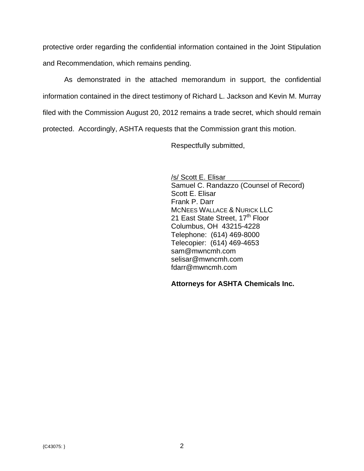protective order regarding the confidential information contained in the Joint Stipulation and Recommendation, which remains pending.

 As demonstrated in the attached memorandum in support, the confidential information contained in the direct testimony of Richard L. Jackson and Kevin M. Murray filed with the Commission August 20, 2012 remains a trade secret, which should remain protected. Accordingly, ASHTA requests that the Commission grant this motion.

Respectfully submitted,

/s/ Scott E. Elisar Samuel C. Randazzo (Counsel of Record) Scott E. Elisar Frank P. Darr MCNEES WALLACE & NURICK LLC 21 East State Street, 17<sup>th</sup> Floor Columbus, OH 43215-4228 Telephone: (614) 469-8000 Telecopier: (614) 469-4653 sam@mwncmh.com selisar@mwncmh.com fdarr@mwncmh.com

**Attorneys for ASHTA Chemicals Inc.**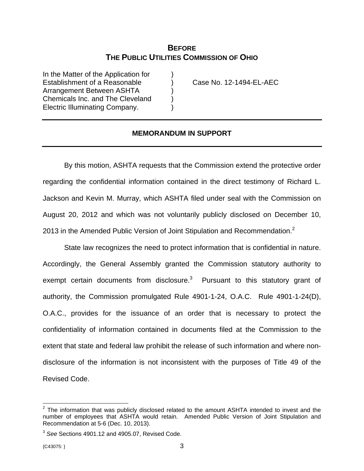# **BEFORE THE PUBLIC UTILITIES COMMISSION OF OHIO**

In the Matter of the Application for ) Establishment of a Reasonable ) Case No. 12-1494-EL-AEC Arrangement Between ASHTA ) Chemicals Inc. and The Cleveland ) Electric Illuminating Company. )

### **MEMORANDUM IN SUPPORT**

By this motion, ASHTA requests that the Commission extend the protective order regarding the confidential information contained in the direct testimony of Richard L. Jackson and Kevin M. Murray, which ASHTA filed under seal with the Commission on August 20, 2012 and which was not voluntarily publicly disclosed on December 10, 2013 in the Amended Public Version of Joint Stipulation and Recommendation.<sup>2</sup>

State law recognizes the need to protect information that is confidential in nature. Accordingly, the General Assembly granted the Commission statutory authority to exempt certain documents from disclosure. $3$  Pursuant to this statutory grant of authority, the Commission promulgated Rule 4901-1-24, O.A.C. Rule 4901-1-24(D), O.A.C., provides for the issuance of an order that is necessary to protect the confidentiality of information contained in documents filed at the Commission to the extent that state and federal law prohibit the release of such information and where nondisclosure of the information is not inconsistent with the purposes of Title 49 of the Revised Code.

**EXECUTE:**<br><sup>2</sup> The information that was publicly disclosed related to the amount ASHTA intended to invest and the number of employees that ASHTA would retain. Amended Public Version of Joint Stipulation and Recommendation at 5-6 (Dec. 10, 2013).

<sup>3</sup> *See* Sections 4901.12 and 4905.07, Revised Code.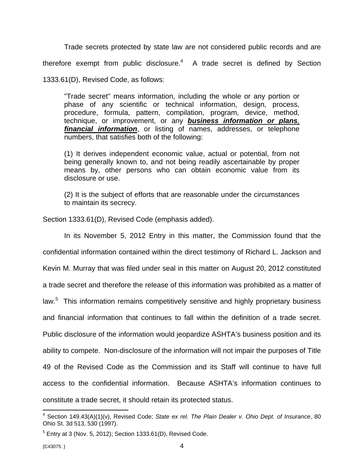Trade secrets protected by state law are not considered public records and are therefore exempt from public disclosure. $4$  A trade secret is defined by Section 1333.61(D), Revised Code, as follows:

"Trade secret" means information, including the whole or any portion or phase of any scientific or technical information, design, process, procedure, formula, pattern, compilation, program, device, method, technique, or improvement, or any *business information or plans, financial information*, or listing of names, addresses, or telephone numbers, that satisfies both of the following:

(1) It derives independent economic value, actual or potential, from not being generally known to, and not being readily ascertainable by proper means by, other persons who can obtain economic value from its disclosure or use.

(2) It is the subject of efforts that are reasonable under the circumstances to maintain its secrecy.

Section 1333.61(D), Revised Code (emphasis added).

In its November 5, 2012 Entry in this matter, the Commission found that the confidential information contained within the direct testimony of Richard L. Jackson and Kevin M. Murray that was filed under seal in this matter on August 20, 2012 constituted a trade secret and therefore the release of this information was prohibited as a matter of law.<sup>5</sup> This information remains competitively sensitive and highly proprietary business and financial information that continues to fall within the definition of a trade secret. Public disclosure of the information would jeopardize ASHTA's business position and its ability to compete. Non-disclosure of the information will not impair the purposes of Title 49 of the Revised Code as the Commission and its Staff will continue to have full access to the confidential information. Because ASHTA's information continues to constitute a trade secret, it should retain its protected status.

 4 Section 149.43(A)(1)(v), Revised Code; *State ex rel. The Plain Dealer v. Ohio Dept. of Insurance*, 80 Ohio St. 3d 513, 530 (1997).

 $<sup>5</sup>$  Entry at 3 (Nov. 5, 2012); Section 1333.61(D), Revised Code.</sup>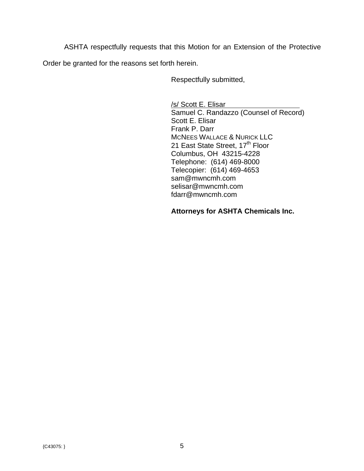ASHTA respectfully requests that this Motion for an Extension of the Protective Order be granted for the reasons set forth herein.

Respectfully submitted,

/s/ Scott E. Elisar Samuel C. Randazzo (Counsel of Record) Scott E. Elisar Frank P. Darr MCNEES WALLACE & NURICK LLC 21 East State Street, 17<sup>th</sup> Floor Columbus, OH 43215-4228 Telephone: (614) 469-8000 Telecopier: (614) 469-4653 sam@mwncmh.com selisar@mwncmh.com fdarr@mwncmh.com

## **Attorneys for ASHTA Chemicals Inc.**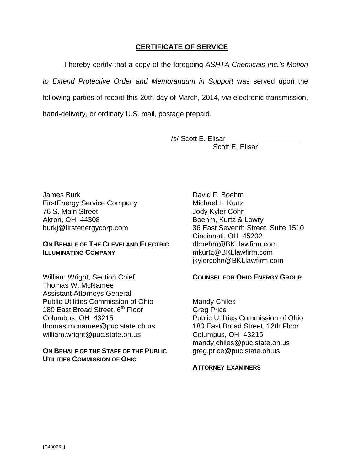### **CERTIFICATE OF SERVICE**

I hereby certify that a copy of the foregoing *ASHTA Chemicals Inc.'s Motion to Extend Protective Order and Memorandum in Support* was served upon the following parties of record this 20th day of March, 2014, *via* electronic transmission, hand-delivery, or ordinary U.S. mail, postage prepaid.

/s/ Scott E. Elisar

Scott E. Elisar

James Burk FirstEnergy Service Company 76 S. Main Street Akron, OH 44308 burkj@firstenergycorp.com

#### **ON BEHALF OF THE CLEVELAND ELECTRIC ILLUMINATING COMPANY**

William Wright, Section Chief Thomas W. McNamee Assistant Attorneys General Public Utilities Commission of Ohio 180 East Broad Street, 6<sup>th</sup> Floor Columbus, OH 43215 thomas.mcnamee@puc.state.oh.us william.wright@puc.state.oh.us

**ON BEHALF OF THE STAFF OF THE PUBLIC UTILITIES COMMISSION OF OHIO**

David F. Boehm Michael L. Kurtz Jody Kyler Cohn Boehm, Kurtz & Lowry 36 East Seventh Street, Suite 1510 Cincinnati, OH 45202 dboehm@BKLlawfirm.com mkurtz@BKLlawfirm.com jkylercohn@BKLlawfirm.com

#### **COUNSEL FOR OHIO ENERGY GROUP**

Mandy Chiles Greg Price Public Utilities Commission of Ohio 180 East Broad Street, 12th Floor Columbus, OH 43215 mandy.chiles@puc.state.oh.us greg.price@puc.state.oh.us

## **ATTORNEY EXAMINERS**